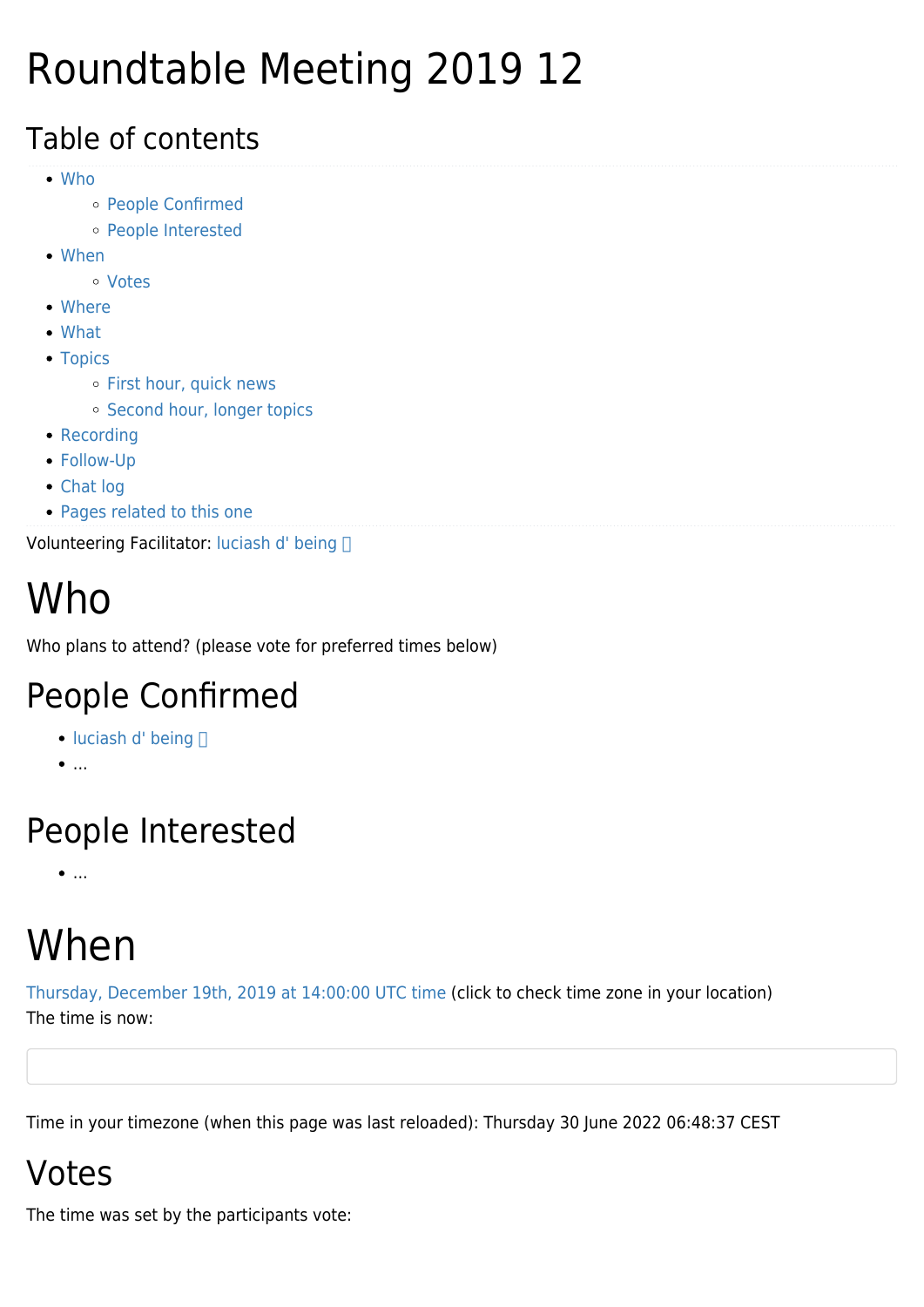## Roundtable Meeting 2019 12

#### Table of contents

- [Who](#page--1-0)
	- [People Confirmed](#page--1-0)
	- [People Interested](#page--1-0)
- [When](#page--1-0)
	- [Votes](#page--1-0)
- [Where](#page--1-0)
- [What](#page--1-0)
- [Topics](#page--1-0)
	- o [First hour, quick news](#page--1-0)
	- o [Second hour, longer topics](#page--1-0)
- [Recording](#page--1-0)
- [Follow-Up](#page--1-0)
- [Chat log](#page--1-0)
- [Pages related to this one](#page--1-0)

Volunteering Facilitator: luciash d' being

# Who

Who plans to attend? (please vote for preferred times below)

### People Confirmed

- $\bullet$  [luciash d' being](https://tiki.org/user199)  $\Box$
- $\bullet$ ...

### People Interested

 $\bullet$ ....

# When

[Thursday, December 19th, 2019 at 14:00:00 UTC time](https://www.timeanddate.com/worldclock/fixedtime.html?year=2019&month=12&day=19&hour=14&min=0&sec=0) (click to check time zone in your location) The time is now:

Time in your timezone (when this page was last reloaded): Thursday 30 June 2022 06:48:37 CEST

### Votes

The time was set by the participants vote: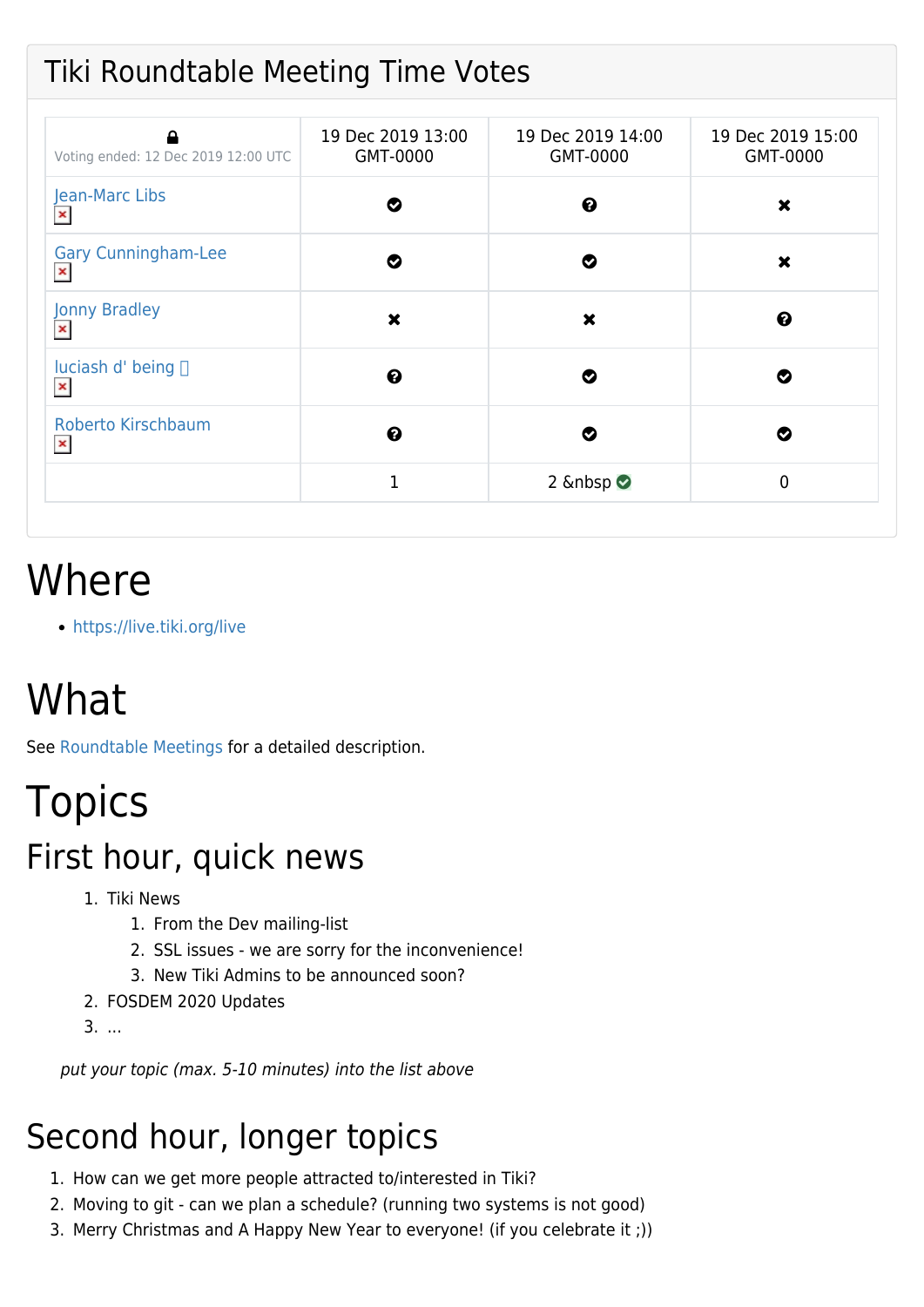#### Tiki Roundtable Meeting Time Votes

| Voting ended: 12 Dec 2019 12:00 UTC          | 19 Dec 2019 13:00<br>GMT-0000 | 19 Dec 2019 14:00<br>GMT-0000 | 19 Dec 2019 15:00<br>GMT-0000 |
|----------------------------------------------|-------------------------------|-------------------------------|-------------------------------|
| Jean-Marc Libs<br>$\pmb{\times}$             | Ø                             | ❷                             | ×                             |
| <b>Gary Cunningham-Lee</b><br>$\pmb{\times}$ | Ø                             | Ø                             | $\boldsymbol{\mathsf{x}}$     |
| <b>Jonny Bradley</b><br>$\pmb{\times}$       | ×                             | $\boldsymbol{\mathsf{x}}$     | ❷                             |
| luciash d' being $\Box$<br>$\pmb{\times}$    | ❷                             | Ø                             | Ø                             |
| Roberto Kirschbaum<br>$\pmb{\times}$         | $\boldsymbol{\Theta}$         | Ø                             | Ø                             |
|                                              | 1                             | 2 $\&$ nbsp $\bullet$         | $\mathbf{0}$                  |

### Where

<https://live.tiki.org/live>

# What

See [Roundtable Meetings](https://tiki.org/Roundtable-Meetings) for a detailed description.

## Topics

#### First hour, quick news

- 1. Tiki News
	- 1. From the Dev mailing-list
	- 2. SSL issues we are sorry for the inconvenience!
	- 3. New Tiki Admins to be announced soon?
- 2. FOSDEM 2020 Updates
- 3. ...

put your topic (max. 5-10 minutes) into the list above

### Second hour, longer topics

- 1. How can we get more people attracted to/interested in Tiki?
- 2. Moving to git can we plan a schedule? (running two systems is not good)
- 3. Merry Christmas and A Happy New Year to everyone! (if you celebrate it ;))